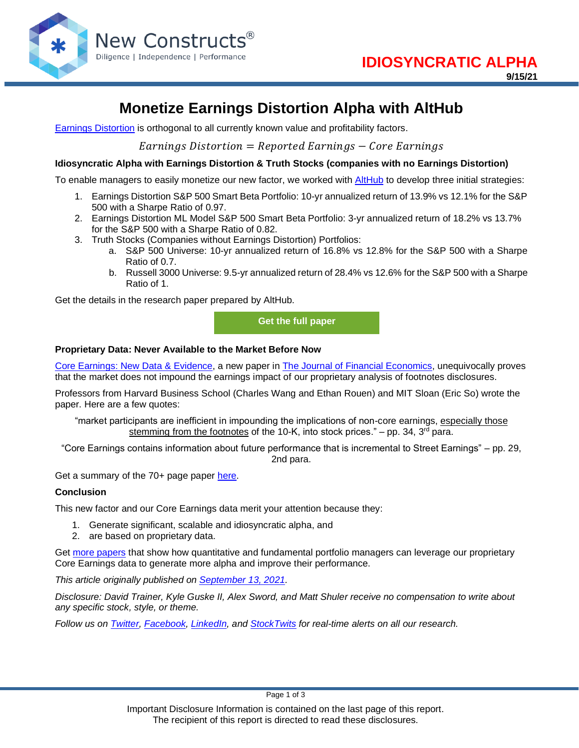

# **Monetize Earnings Distortion Alpha with AltHub**

[Earnings Distortion](https://www.newconstructs.com/education-core-earnings-earnings-distortion/) is orthogonal to all currently known value and profitability factors.

 $Earnings$  Distortion = Reported Earnings  $-$  Core Earnings

### **Idiosyncratic Alpha with Earnings Distortion & Truth Stocks (companies with no Earnings Distortion)**

To enable managers to easily monetize our new factor, we worked with [AltHub](https://www.althub.com/) to develop three initial strategies:

- 1. Earnings Distortion S&P 500 Smart Beta Portfolio: 10-yr annualized return of 13.9% vs 12.1% for the S&P 500 with a Sharpe Ratio of 0.97.
- 2. Earnings Distortion ML Model S&P 500 Smart Beta Portfolio: 3-yr annualized return of 18.2% vs 13.7% for the S&P 500 with a Sharpe Ratio of 0.82.
- 3. Truth Stocks (Companies without Earnings Distortion) Portfolios:
	- a. S&P 500 Universe: 10-yr annualized return of 16.8% vs 12.8% for the S&P 500 with a Sharpe Ratio of 0.7.
	- b. Russell 3000 Universe: 9.5-yr annualized return of 28.4% vs 12.6% for the S&P 500 with a Sharpe Ratio of 1.

Get the details in the research paper prepared by AltHub.

**[Get the full paper](https://www.newconstructs.com/wp-content/uploads/2021/09/Invisage-Paper-Smart-Beta-from-Earnings-Distortion-and-Truth-Stocks-New-Constructs.pdf)**

### **Proprietary Data: Never Available to the Market Before Now**

[Core Earnings: New Data & Evidence,](https://papers.ssrn.com/sol3/papers.cfm?abstract_id=3467814) a new paper in [The Journal of Financial Economics,](https://www.sciencedirect.com/science/article/abs/pii/S0304405X21001550) unequivocally proves that the market does not impound the earnings impact of our proprietary analysis of footnotes disclosures.

Professors from Harvard Business School (Charles Wang and Ethan Rouen) and MIT Sloan (Eric So) wrote the paper. Here are a few quotes:

"market participants are inefficient in impounding the implications of non-core earnings, especially those stemming from the footnotes of the 10-K, into stock prices." – pp. 34,  $3<sup>rd</sup>$  para.

"Core Earnings contains information about future performance that is incremental to Street Earnings" – pp. 29, 2nd para.

Get a summary of the 70+ page paper [here.](https://www.newconstructs.com/evidence-on-the-superiority-of-our-earnings-data/)

#### **Conclusion**

This new factor and our Core Earnings data merit your attention because they:

- 1. Generate significant, scalable and idiosyncratic alpha, and
- 2. are based on proprietary data.

Get [more papers](https://www.newconstructs.com/alpha-from-earnings-distortion/) that show how quantitative and fundamental portfolio managers can leverage our proprietary Core Earnings data to generate more alpha and improve their performance.

*This article originally published on [September 13, 2021.](https://www.newconstructs.com/monetize-earnings-distortion-alpha-with-althub/)*

*Disclosure: David Trainer, Kyle Guske II, Alex Sword, and Matt Shuler receive no compensation to write about any specific stock, style, or theme.*

*Follow us on [Twitter,](https://twitter.com/NewConstructs) [Facebook,](https://www.facebook.com/newconstructsllc/) [LinkedIn,](https://www.linkedin.com/company/new-constructs) and [StockTwits](https://stocktwits.com/dtrainer_NewConstructs) for real-time alerts on all our research.* 

Page 1 of 3

Important Disclosure Information is contained on the last page of this report. The recipient of this report is directed to read these disclosures.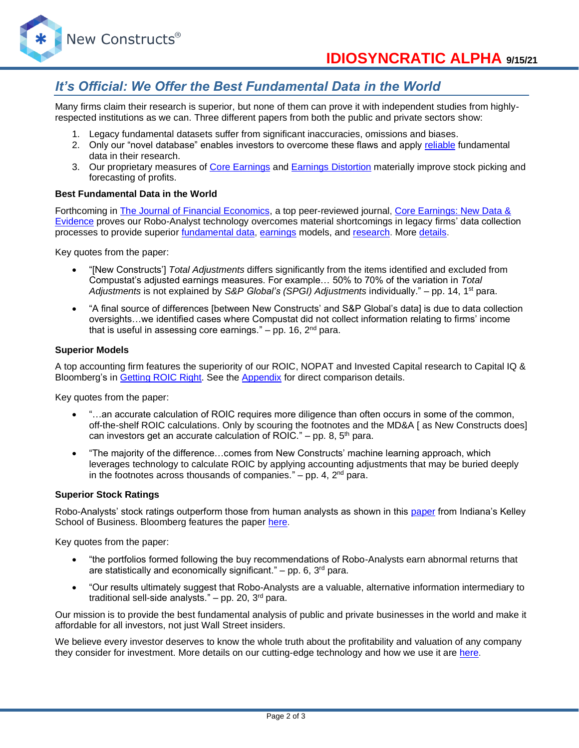

## *It's Official: We Offer the Best Fundamental Data in the World*

Many firms claim their research is superior, but none of them can prove it with independent studies from highlyrespected institutions as we can. Three different papers from both the public and private sectors show:

- 1. Legacy fundamental datasets suffer from significant inaccuracies, omissions and biases.
- 2. Only our "novel database" enables investors to overcome these flaws and apply [reliable](https://www.newconstructs.com/evidence-on-the-superiority-of-our-earnings-data/) fundamental data in their research.
- 3. Our proprietary measures of [Core Earnings](https://www.newconstructs.com/education-core-earnings-earnings-distortion/) and [Earnings Distortion](https://www.newconstructs.com/earnings-distortion-score-methodology/) materially improve stock picking and forecasting of profits.

#### **Best Fundamental Data in the World**

Forthcoming in [The Journal of Financial Economics,](http://jfe.rochester.edu/) a top peer-reviewed journal, [Core Earnings: New Data &](https://papers.ssrn.com/sol3/papers.cfm?abstract_id=3467814)  [Evidence](https://papers.ssrn.com/sol3/papers.cfm?abstract_id=3467814) proves our Robo-Analyst technology overcomes material shortcomings in legacy firms' data collection processes to provide superior [fundamental data,](https://www.newconstructs.com/data/) [earnings](https://www.newconstructs.com/education-core-earnings-earnings-distortion/) models, and [research.](https://www.newconstructs.com/blog/) More [details.](https://www.newconstructs.com/evidence-on-the-superiority-of-our-earnings-data/)

Key quotes from the paper:

- "[New Constructs'] *Total Adjustments* differs significantly from the items identified and excluded from Compustat's adjusted earnings measures. For example… 50% to 70% of the variation in *Total Adjustments* is not explained by *S&P Global's (SPGI) Adjustments* individually." – pp. 14, 1st para.
- "A final source of differences [between New Constructs' and S&P Global's data] is due to data collection oversights…we identified cases where Compustat did not collect information relating to firms' income that is useful in assessing core earnings."  $-$  pp. 16,  $2<sup>nd</sup>$  para.

#### **Superior Models**

A top accounting firm features the superiority of our ROIC, NOPAT and Invested Capital research to Capital IQ & Bloomberg's in [Getting](https://www.newconstructs.com/getting-roic-right/) ROIC Right. See the [Appendix](https://www.newconstructs.com/wp-content/uploads/2019/06/Getting-ROIC-Right.pdf) for direct comparison details.

Key quotes from the paper:

- "...an accurate calculation of ROIC requires more diligence than often occurs in some of the common, off-the-shelf ROIC calculations. Only by scouring the footnotes and the MD&A [ as New Constructs does] can investors get an accurate calculation of ROIC." – pp. 8,  $5<sup>th</sup>$  para.
- "The majority of the difference…comes from New Constructs' machine learning approach, which leverages technology to calculate ROIC by applying accounting adjustments that may be buried deeply in the footnotes across thousands of companies."  $-$  pp. 4,  $2<sup>nd</sup>$  para.

#### **Superior Stock Ratings**

Robo-Analysts' stock ratings outperform those from human analysts as shown in this [paper](https://papers.ssrn.com/sol3/papers.cfm?abstract_id=3514879) from Indiana's Kelley School of Business. Bloomberg features the paper [here.](https://www.bloomberg.com/news/articles/2020-02-11/robot-analysts-outwit-humans-in-study-of-profit-from-stock-calls?sref=zw7RLDfe)

Key quotes from the paper:

- "the portfolios formed following the buy recommendations of Robo-Analysts earn abnormal returns that are statistically and economically significant." – pp. 6, 3<sup>rd</sup> para.
- "Our results ultimately suggest that Robo-Analysts are a valuable, alternative information intermediary to traditional sell-side analysts."  $-$  pp. 20, 3<sup>rd</sup> para.

Our mission is to provide the best fundamental analysis of public and private businesses in the world and make it affordable for all investors, not just Wall Street insiders.

We believe every investor deserves to know the whole truth about the profitability and valuation of any company they consider for investment. More details on our cutting-edge technology and how we use it are [here.](https://www.youtube.com/watch?v=wRUr5w4zDVA)